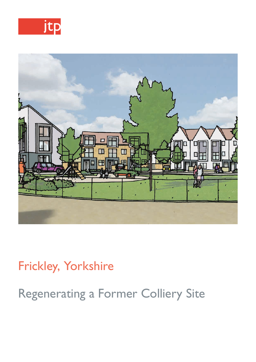



## Frickley, Yorkshire

Regenerating a Former Colliery Site